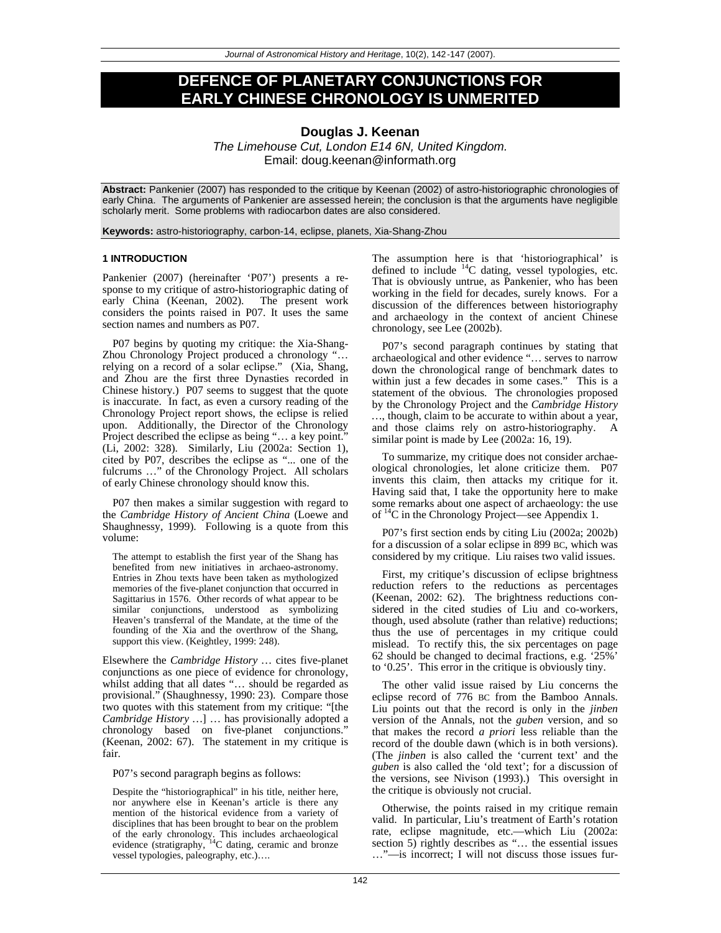# **DEFENCE OF PLANETARY CONJUNCTIONS FOR EARLY CHINESE CHRONOLOGY IS UNMERITED**

# **Douglas J. Keenan**

*The Limehouse Cut, London E14 6N, United Kingdom.*  Email: doug.keenan@informath.org

**Abstract:** Pankenier (2007) has responded to the critique by Keenan (2002) of astro-historiographic chronologies of early China. The arguments of Pankenier are assessed herein; the conclusion is that the arguments have negligible scholarly merit. Some problems with radiocarbon dates are also considered.

**Keywords:** astro-historiography, carbon-14, eclipse, planets, Xia-Shang-Zhou

### **1 INTRODUCTION**

Pankenier (2007) (hereinafter 'P07') presents a response to my critique of astro-historiographic dating of early China (Keenan, 2002). The present work considers the points raised in P07. It uses the same section names and numbers as P07.

P07 begins by quoting my critique: the Xia-Shang-Zhou Chronology Project produced a chronology "… relying on a record of a solar eclipse." (Xia, Shang, and Zhou are the first three Dynasties recorded in Chinese history.) P07 seems to suggest that the quote is inaccurate. In fact, as even a cursory reading of the Chronology Project report shows, the eclipse is relied upon. Additionally, the Director of the Chronology Project described the eclipse as being "… a key point." (Li, 2002: 328). Similarly, Liu (2002a: Section 1), cited by P07, describes the eclipse as "... one of the fulcrums ..." of the Chronology Project. All scholars of early Chinese chronology should know this.

P07 then makes a similar suggestion with regard to the *Cambridge History of Ancient China* (Loewe and Shaughnessy, 1999). Following is a quote from this volume:

The attempt to establish the first year of the Shang has benefited from new initiatives in archaeo-astronomy. Entries in Zhou texts have been taken as mythologized memories of the five-planet conjunction that occurred in Sagittarius in 1576. Other records of what appear to be similar conjunctions, understood as symbolizing Heaven's transferral of the Mandate, at the time of the founding of the Xia and the overthrow of the Shang, support this view. (Keightley, 1999: 248).

Elsewhere the *Cambridge History …* cites five-planet conjunctions as one piece of evidence for chronology, whilst adding that all dates "… should be regarded as provisional." (Shaughnessy, 1990: 23). Compare those two quotes with this statement from my critique: "[the *Cambridge History …*] … has provisionally adopted a chronology based on five-planet conjunctions." (Keenan, 2002: 67). The statement in my critique is fair.

P07's second paragraph begins as follows:

Despite the "historiographical" in his title, neither here, nor anywhere else in Keenan's article is there any mention of the historical evidence from a variety of disciplines that has been brought to bear on the problem of the early chronology. This includes archaeological evidence (stratigraphy, <sup>14</sup>C dating, ceramic and bronze vessel typologies, paleography, etc.)….

The assumption here is that 'historiographical' is defined to include  ${}^{14}C$  dating, vessel typologies, etc. That is obviously untrue, as Pankenier, who has been working in the field for decades, surely knows. For a discussion of the differences between historiography and archaeology in the context of ancient Chinese chronology, see Lee (2002b).

P07's second paragraph continues by stating that archaeological and other evidence "… serves to narrow down the chronological range of benchmark dates to within just a few decades in some cases." This is a statement of the obvious. The chronologies proposed by the Chronology Project and the *Cambridge History …*, though, claim to be accurate to within about a year, and those claims rely on astro-historiography. A similar point is made by Lee (2002a: 16, 19).

To summarize, my critique does not consider archaeological chronologies, let alone criticize them. P07 invents this claim, then attacks my critique for it. Having said that, I take the opportunity here to make some remarks about one aspect of archaeology: the use of 14C in the Chronology Project—see Appendix 1.

P07's first section ends by citing Liu (2002a; 2002b) for a discussion of a solar eclipse in 899 BC, which was considered by my critique. Liu raises two valid issues.

First, my critique's discussion of eclipse brightness reduction refers to the reductions as percentages (Keenan, 2002: 62). The brightness reductions considered in the cited studies of Liu and co-workers, though, used absolute (rather than relative) reductions; thus the use of percentages in my critique could mislead. To rectify this, the six percentages on page 62 should be changed to decimal fractions, e.g. '25%' to '0.25'. This error in the critique is obviously tiny.

The other valid issue raised by Liu concerns the eclipse record of 776 BC from the Bamboo Annals. Liu points out that the record is only in the *jinben* version of the Annals, not the *guben* version, and so that makes the record *a priori* less reliable than the record of the double dawn (which is in both versions). (The *jinben* is also called the 'current text' and the *guben* is also called the 'old text'; for a discussion of the versions, see Nivison (1993).) This oversight in the critique is obviously not crucial.

Otherwise, the points raised in my critique remain valid. In particular, Liu's treatment of Earth's rotation rate, eclipse magnitude, etc.—which Liu (2002a: section 5) rightly describes as "... the essential issues …"—is incorrect; I will not discuss those issues fur-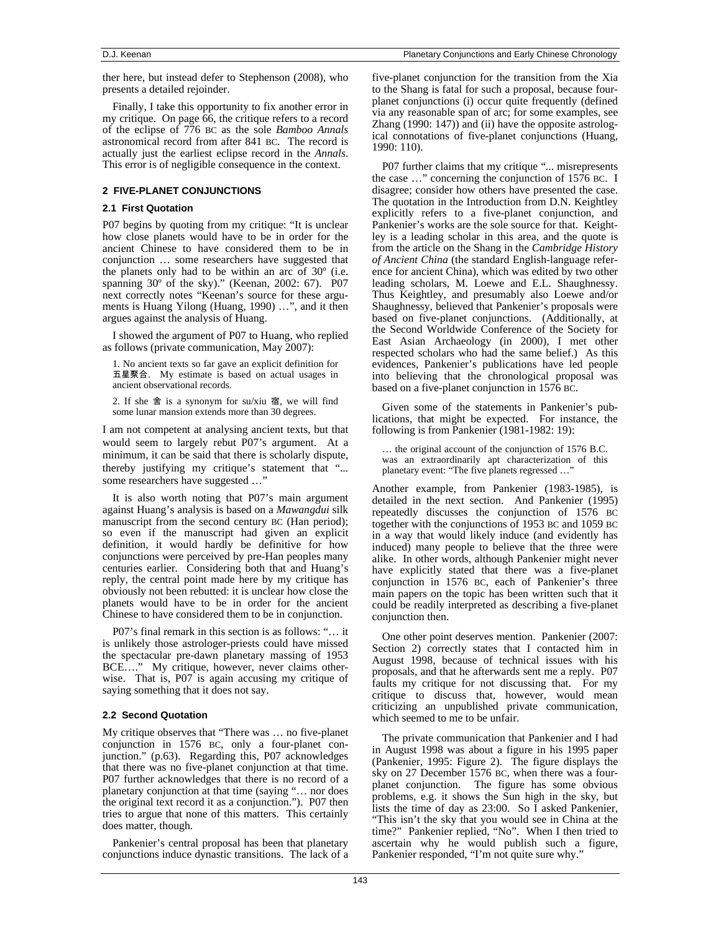ther here, but instead defer to Stephenson (2008), who presents a detailed rejoinder.

Finally, I take this opportunity to fix another error in my critique. On page 66, the critique refers to a record of the eclipse of 776 BC as the sole *Bamboo Annals* astronomical record from after 841 BC. The record is actually just the earliest eclipse record in the *Annals*. This error is of negligible consequence in the context.

### **2 FIVE-PLANET CONJUNCTIONS**

### **2.1 First Quotation**

P07 begins by quoting from my critique: "It is unclear how close planets would have to be in order for the ancient Chinese to have considered them to be in conjunction … some researchers have suggested that the planets only had to be within an arc of 30º (i.e. spanning 30º of the sky)." (Keenan, 2002: 67). P07 next correctly notes "Keenan's source for these arguments is Huang Yilong (Huang, 1990) …", and it then argues against the analysis of Huang.

I showed the argument of P07 to Huang, who replied as follows (private communication, May 2007):

1. No ancient texts so far gave an explicit definition for 五星聚合. My estimate is based on actual usages in ancient observational records.

2. If she 舍 is a synonym for su/xiu 宿, we will find some lunar mansion extends more than 30 degrees.

I am not competent at analysing ancient texts, but that would seem to largely rebut P07's argument. At a minimum, it can be said that there is scholarly dispute, thereby justifying my critique's statement that "... some researchers have suggested …"

It is also worth noting that P07's main argument against Huang's analysis is based on a *Mawangdui* silk manuscript from the second century BC (Han period); so even if the manuscript had given an explicit definition, it would hardly be definitive for how conjunctions were perceived by pre-Han peoples many centuries earlier. Considering both that and Huang's reply, the central point made here by my critique has obviously not been rebutted: it is unclear how close the planets would have to be in order for the ancient Chinese to have considered them to be in conjunction.

P07's final remark in this section is as follows: "… it is unlikely those astrologer-priests could have missed the spectacular pre-dawn planetary massing of 1953 BCE…." My critique, however, never claims otherwise. That is, P07 is again accusing my critique of saying something that it does not say.

### **2.2 Second Quotation**

My critique observes that "There was … no five-planet conjunction in 1576 BC, only a four-planet conjunction." (p.63). Regarding this, P07 acknowledges that there was no five-planet conjunction at that time. P07 further acknowledges that there is no record of a planetary conjunction at that time (saying "… nor does the original text record it as a conjunction."). P07 then tries to argue that none of this matters. This certainly does matter, though.

Pankenier's central proposal has been that planetary conjunctions induce dynastic transitions. The lack of a five-planet conjunction for the transition from the Xia to the Shang is fatal for such a proposal, because fourplanet conjunctions (i) occur quite frequently (defined via any reasonable span of arc; for some examples, see Zhang (1990: 147)) and (ii) have the opposite astrological connotations of five-planet conjunctions (Huang, 1990: 110).

P07 further claims that my critique "... misrepresents the case …" concerning the conjunction of 1576 BC. I disagree; consider how others have presented the case. The quotation in the Introduction from D.N. Keightley explicitly refers to a five-planet conjunction, and Pankenier's works are the sole source for that. Keightley is a leading scholar in this area, and the quote is from the article on the Shang in the *Cambridge History of Ancient China* (the standard English-language reference for ancient China), which was edited by two other leading scholars, M. Loewe and E.L. Shaughnessy. Thus Keightley, and presumably also Loewe and/or Shaughnessy, believed that Pankenier's proposals were based on five-planet conjunctions. (Additionally, at the Second Worldwide Conference of the Society for East Asian Archaeology (in 2000), I met other respected scholars who had the same belief.) As this evidences, Pankenier's publications have led people into believing that the chronological proposal was based on a five-planet conjunction in 1576 BC.

Given some of the statements in Pankenier's publications, that might be expected. For instance, the following is from Pankenier (1981-1982: 19):

… the original account of the conjunction of 1576 B.C. was an extraordinarily apt characterization of this planetary event: "The five planets regressed ...

Another example, from Pankenier (1983-1985), is detailed in the next section. And Pankenier (1995) repeatedly discusses the conjunction of 1576 BC together with the conjunctions of 1953 BC and 1059 BC in a way that would likely induce (and evidently has induced) many people to believe that the three were alike. In other words, although Pankenier might never have explicitly stated that there was a five-planet conjunction in 1576 BC, each of Pankenier's three main papers on the topic has been written such that it could be readily interpreted as describing a five-planet conjunction then.

One other point deserves mention. Pankenier (2007: Section 2) correctly states that I contacted him in August 1998, because of technical issues with his proposals, and that he afterwards sent me a reply. P07 faults my critique for not discussing that. For my critique to discuss that, however, would mean criticizing an unpublished private communication, which seemed to me to be unfair.

The private communication that Pankenier and I had in August 1998 was about a figure in his 1995 paper (Pankenier, 1995: Figure 2). The figure displays the sky on 27 December 1576 BC, when there was a fourplanet conjunction. The figure has some obvious problems, e.g. it shows the Sun high in the sky, but lists the time of day as 23:00. So I asked Pankenier, "This isn't the sky that you would see in China at the time?" Pankenier replied, "No". When I then tried to ascertain why he would publish such a figure, Pankenier responded, "I'm not quite sure why."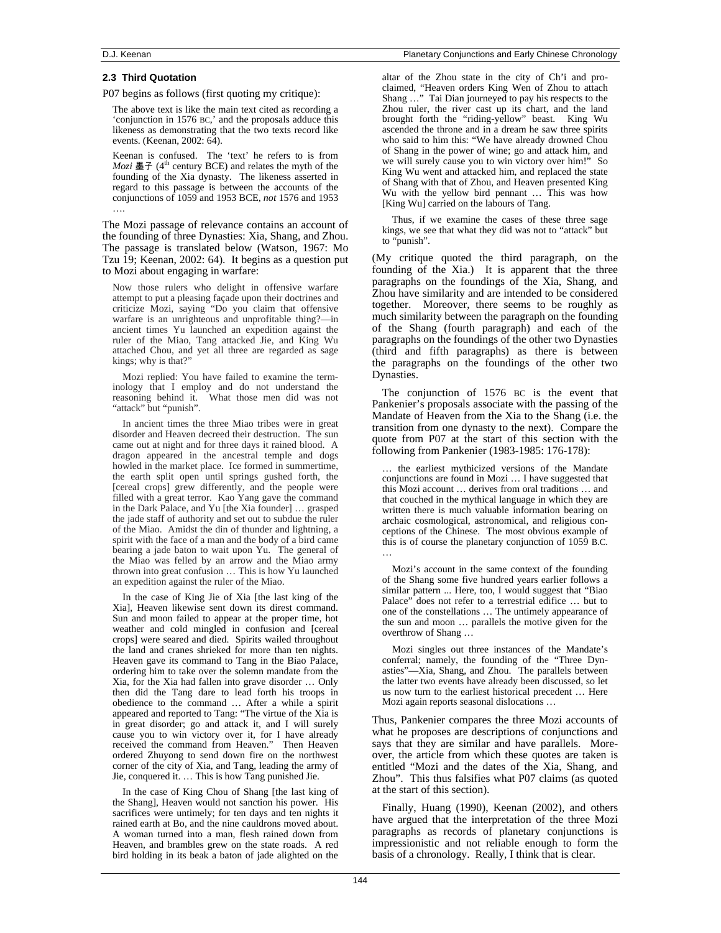### **2.3 Third Quotation**

P07 begins as follows (first quoting my critique):

The above text is like the main text cited as recording a 'conjunction in 1576 BC,' and the proposals adduce this likeness as demonstrating that the two texts record like events. (Keenan, 2002: 64).

Keenan is confused. The 'text' he refers to is from  $Mozi$  墨子 (4<sup>th</sup> century BCE) and relates the myth of the founding of the Xia dynasty. The likeness asserted in regard to this passage is between the accounts of the conjunctions of 1059 and 1953 BCE, *not* 1576 and 1953 ….

The Mozi passage of relevance contains an account of the founding of three Dynasties: Xia, Shang, and Zhou. The passage is translated below (Watson, 1967: Mo Tzu 19; Keenan, 2002: 64). It begins as a question put to Mozi about engaging in warfare:

Now those rulers who delight in offensive warfare attempt to put a pleasing façade upon their doctrines and criticize Mozi, saying "Do you claim that offensive warfare is an unrighteous and unprofitable thing?—in ancient times Yu launched an expedition against the ruler of the Miao, Tang attacked Jie, and King Wu attached Chou, and yet all three are regarded as sage kings; why is that?"

Mozi replied: You have failed to examine the terminology that I employ and do not understand the reasoning behind it. What those men did was not "attack" but "punish".

In ancient times the three Miao tribes were in great disorder and Heaven decreed their destruction. The sun came out at night and for three days it rained blood. A dragon appeared in the ancestral temple and dogs howled in the market place. Ice formed in summertime, the earth split open until springs gushed forth, the [cereal crops] grew differently, and the people were filled with a great terror. Kao Yang gave the command in the Dark Palace, and Yu [the Xia founder] … grasped the jade staff of authority and set out to subdue the ruler of the Miao. Amidst the din of thunder and lightning, a spirit with the face of a man and the body of a bird came bearing a jade baton to wait upon Yu. The general of the Miao was felled by an arrow and the Miao army thrown into great confusion … This is how Yu launched an expedition against the ruler of the Miao.

In the case of King Jie of Xia [the last king of the Xia], Heaven likewise sent down its direst command. Sun and moon failed to appear at the proper time, hot weather and cold mingled in confusion and [cereal crops] were seared and died. Spirits wailed throughout the land and cranes shrieked for more than ten nights. Heaven gave its command to Tang in the Biao Palace, ordering him to take over the solemn mandate from the Xia, for the Xia had fallen into grave disorder … Only then did the Tang dare to lead forth his troops in obedience to the command … After a while a spirit appeared and reported to Tang: "The virtue of the Xia is in great disorder; go and attack it, and I will surely cause you to win victory over it, for I have already received the command from Heaven." Then Heaven ordered Zhuyong to send down fire on the northwest corner of the city of Xia, and Tang, leading the army of Jie, conquered it. … This is how Tang punished Jie.

In the case of King Chou of Shang [the last king of the Shang], Heaven would not sanction his power. His sacrifices were untimely; for ten days and ten nights it rained earth at Bo, and the nine cauldrons moved about. A woman turned into a man, flesh rained down from Heaven, and brambles grew on the state roads. A red bird holding in its beak a baton of jade alighted on the

altar of the Zhou state in the city of Ch'i and proclaimed, "Heaven orders King Wen of Zhou to attach Shang …" Tai Dian journeyed to pay his respects to the Zhou ruler, the river cast up its chart, and the land brought forth the "riding-yellow" beast. King Wu ascended the throne and in a dream he saw three spirits who said to him this: "We have already drowned Chou of Shang in the power of wine; go and attack him, and we will surely cause you to win victory over him!" So King Wu went and attacked him, and replaced the state of Shang with that of Zhou, and Heaven presented King Wu with the yellow bird pennant … This was how [King Wu] carried on the labours of Tang.

Thus, if we examine the cases of these three sage kings, we see that what they did was not to "attack" but to "punish".

(My critique quoted the third paragraph, on the founding of the Xia.) It is apparent that the three paragraphs on the foundings of the Xia, Shang, and Zhou have similarity and are intended to be considered together. Moreover, there seems to be roughly as much similarity between the paragraph on the founding of the Shang (fourth paragraph) and each of the paragraphs on the foundings of the other two Dynasties (third and fifth paragraphs) as there is between the paragraphs on the foundings of the other two Dynasties.

The conjunction of 1576 BC is the event that Pankenier's proposals associate with the passing of the Mandate of Heaven from the Xia to the Shang (i.e. the transition from one dynasty to the next). Compare the quote from P07 at the start of this section with the following from Pankenier (1983-1985: 176-178):

… the earliest mythicized versions of the Mandate conjunctions are found in Mozi … I have suggested that this Mozi account … derives from oral traditions … and that couched in the mythical language in which they are written there is much valuable information bearing on archaic cosmological, astronomical, and religious conceptions of the Chinese. The most obvious example of this is of course the planetary conjunction of 1059 B.C. …

Mozi's account in the same context of the founding of the Shang some five hundred years earlier follows a similar pattern ... Here, too, I would suggest that "Biao Palace" does not refer to a terrestrial edifice … but to one of the constellations … The untimely appearance of the sun and moon … parallels the motive given for the overthrow of Shang …

Mozi singles out three instances of the Mandate's conferral; namely, the founding of the "Three Dynasties"—Xia, Shang, and Zhou. The parallels between the latter two events have already been discussed, so let us now turn to the earliest historical precedent … Here Mozi again reports seasonal dislocations …

Thus, Pankenier compares the three Mozi accounts of what he proposes are descriptions of conjunctions and says that they are similar and have parallels. Moreover, the article from which these quotes are taken is entitled "Mozi and the dates of the Xia, Shang, and Zhou". This thus falsifies what P07 claims (as quoted at the start of this section).

Finally, Huang (1990), Keenan (2002), and others have argued that the interpretation of the three Mozi paragraphs as records of planetary conjunctions is impressionistic and not reliable enough to form the basis of a chronology. Really, I think that is clear.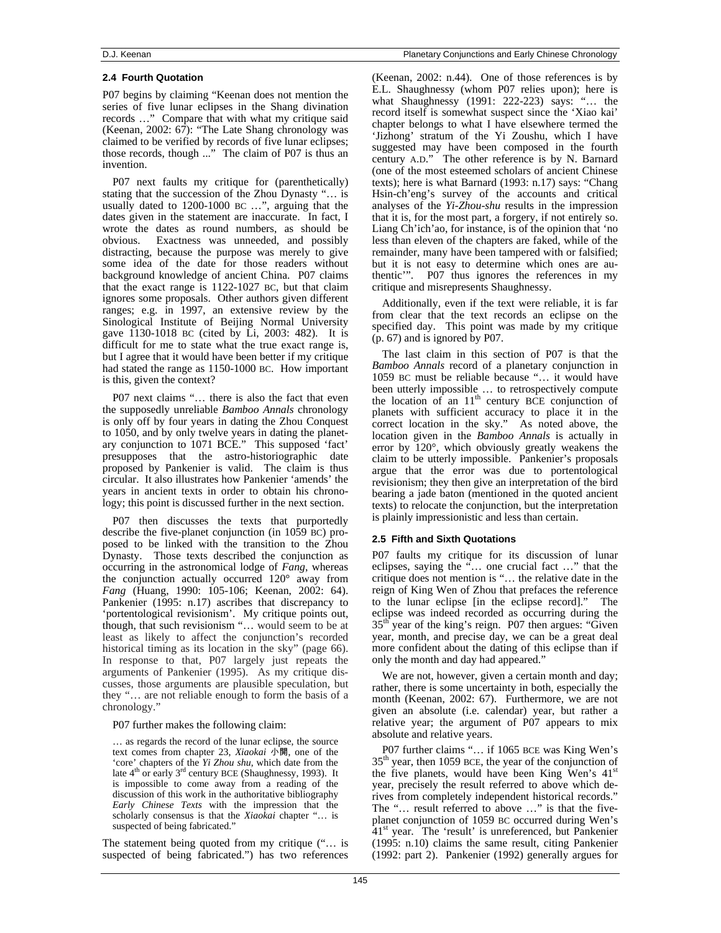### **2.4 Fourth Quotation**

P07 begins by claiming "Keenan does not mention the series of five lunar eclipses in the Shang divination records …" Compare that with what my critique said (Keenan, 2002:  $67$ ): "The Late Shang chronology was claimed to be verified by records of five lunar eclipses; those records, though ..." The claim of P07 is thus an invention.

P07 next faults my critique for (parenthetically) stating that the succession of the Zhou Dynasty "… is usually dated to 1200-1000 BC …", arguing that the dates given in the statement are inaccurate. In fact, I wrote the dates as round numbers, as should be obvious. Exactness was unneeded, and possibly distracting, because the purpose was merely to give some idea of the date for those readers without background knowledge of ancient China. P07 claims that the exact range is 1122-1027 BC, but that claim ignores some proposals. Other authors given different ranges; e.g. in 1997, an extensive review by the Sinological Institute of Beijing Normal University gave 1130-1018 BC (cited by Li, 2003: 482). It is difficult for me to state what the true exact range is, but I agree that it would have been better if my critique had stated the range as 1150-1000 BC. How important is this, given the context?

P07 next claims "… there is also the fact that even the supposedly unreliable *Bamboo Annals* chronology is only off by four years in dating the Zhou Conquest to 1050, and by only twelve years in dating the planetary conjunction to 1071 BCE." This supposed 'fact' presupposes that the astro-historiographic date proposed by Pankenier is valid. The claim is thus circular. It also illustrates how Pankenier 'amends' the years in ancient texts in order to obtain his chronology; this point is discussed further in the next section.

P07 then discusses the texts that purportedly describe the five-planet conjunction (in 1059 BC) proposed to be linked with the transition to the Zhou Dynasty. Those texts described the conjunction as occurring in the astronomical lodge of *Fang*, whereas the conjunction actually occurred 120° away from *Fang* (Huang, 1990: 105-106; Keenan, 2002: 64). Pankenier (1995: n.17) ascribes that discrepancy to 'portentological revisionism'. My critique points out, though, that such revisionism "… would seem to be at least as likely to affect the conjunction's recorded historical timing as its location in the sky" (page 66). In response to that, P07 largely just repeats the arguments of Pankenier (1995). As my critique discusses, those arguments are plausible speculation, but they "… are not reliable enough to form the basis of a chronology."

P07 further makes the following claim:

… as regards the record of the lunar eclipse, the source text comes from chapter 23, *Xiaokai* 小開, one of the 'core' chapters of the *Yi Zhou shu*, which date from the late  $4<sup>th</sup>$  or early  $3<sup>rd</sup>$  century BCE (Shaughnessy, 1993). It is impossible to come away from a reading of the discussion of this work in the authoritative bibliography *Early Chinese Texts* with the impression that the scholarly consensus is that the *Xiaokai* chapter "… is suspected of being fabricated."

The statement being quoted from my critique ("… is suspected of being fabricated.") has two references (Keenan, 2002: n.44). One of those references is by E.L. Shaughnessy (whom P07 relies upon); here is what Shaughnessy (1991: 222-223) says: "… the record itself is somewhat suspect since the 'Xiao kai' chapter belongs to what I have elsewhere termed the 'Jizhong' stratum of the Yi Zoushu, which I have suggested may have been composed in the fourth century A.D." The other reference is by N. Barnard (one of the most esteemed scholars of ancient Chinese texts); here is what Barnard (1993: n.17) says: "Chang Hsin-ch'eng's survey of the accounts and critical analyses of the *Yi-Zhou-shu* results in the impression that it is, for the most part, a forgery, if not entirely so. Liang Ch'ich'ao, for instance, is of the opinion that 'no less than eleven of the chapters are faked, while of the remainder, many have been tampered with or falsified; but it is not easy to determine which ones are authentic'". P07 thus ignores the references in my critique and misrepresents Shaughnessy.

Additionally, even if the text were reliable, it is far from clear that the text records an eclipse on the specified day. This point was made by my critique (p. 67) and is ignored by P07.

The last claim in this section of P07 is that the *Bamboo Annals* record of a planetary conjunction in 1059 BC must be reliable because "… it would have been utterly impossible … to retrospectively compute the location of an  $11<sup>th</sup>$  century BCE conjunction of planets with sufficient accuracy to place it in the correct location in the sky." As noted above, the location given in the *Bamboo Annals* is actually in error by 120°, which obviously greatly weakens the claim to be utterly impossible. Pankenier's proposals argue that the error was due to portentological revisionism; they then give an interpretation of the bird bearing a jade baton (mentioned in the quoted ancient texts) to relocate the conjunction, but the interpretation is plainly impressionistic and less than certain.

## **2.5 Fifth and Sixth Quotations**

P07 faults my critique for its discussion of lunar eclipses, saying the "… one crucial fact …" that the critique does not mention is "… the relative date in the reign of King Wen of Zhou that prefaces the reference to the lunar eclipse [in the eclipse record]." The eclipse was indeed recorded as occurring during the  $35<sup>th</sup>$  year of the king's reign. P07 then argues: "Given" year, month, and precise day, we can be a great deal more confident about the dating of this eclipse than if only the month and day had appeared."

We are not, however, given a certain month and day; rather, there is some uncertainty in both, especially the month (Keenan, 2002: 67). Furthermore, we are not given an absolute (i.e. calendar) year, but rather a relative year; the argument of P07 appears to mix absolute and relative years.

P07 further claims "… if 1065 BCE was King Wen's  $35<sup>th</sup>$  year, then 1059 BCE, the year of the conjunction of the five planets, would have been King Wen's  $41<sup>st</sup>$ year, precisely the result referred to above which derives from completely independent historical records." The "… result referred to above …" is that the fiveplanet conjunction of 1059 BC occurred during Wen's  $41<sup>st</sup>$  year. The 'result' is unreferenced, but Pankenier (1995: n.10) claims the same result, citing Pankenier (1992: part 2). Pankenier (1992) generally argues for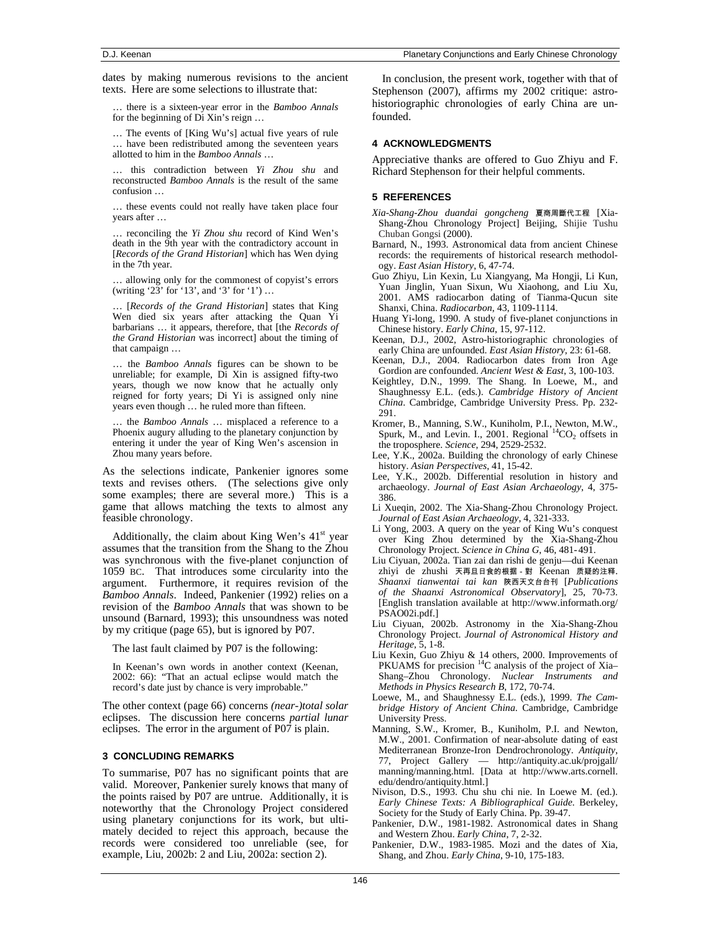dates by making numerous revisions to the ancient texts. Here are some selections to illustrate that:

… there is a sixteen-year error in the *Bamboo Annals* for the beginning of Di Xin's reign …

… The events of [King Wu's] actual five years of rule … have been redistributed among the seventeen years allotted to him in the *Bamboo Annals* …

… this contradiction between *Yi Zhou shu* and reconstructed *Bamboo Annals* is the result of the same confusion …

… these events could not really have taken place four years after …

… reconciling the *Yi Zhou shu* record of Kind Wen's death in the 9th year with the contradictory account in [*Records of the Grand Historian*] which has Wen dying in the 7th year.

… allowing only for the commonest of copyist's errors (writing '23' for '13', and '3' for '1') …

… [*Records of the Grand Historian*] states that King Wen died six years after attacking the Quan Yi barbarians … it appears, therefore, that [the *Records of the Grand Historian* was incorrect] about the timing of that campaign …

… the *Bamboo Annals* figures can be shown to be unreliable; for example, Di Xin is assigned fifty-two years, though we now know that he actually only reigned for forty years; Di Yi is assigned only nine years even though … he ruled more than fifteen.

… the *Bamboo Annals* … misplaced a reference to a Phoenix augury alluding to the planetary conjunction by entering it under the year of King Wen's ascension in Zhou many years before.

As the selections indicate, Pankenier ignores some texts and revises others. (The selections give only some examples; there are several more.) This is a game that allows matching the texts to almost any feasible chronology.

Additionally, the claim about King Wen's  $41<sup>st</sup>$  year assumes that the transition from the Shang to the Zhou was synchronous with the five-planet conjunction of 1059 BC. That introduces some circularity into the argument. Furthermore, it requires revision of the *Bamboo Annals*. Indeed, Pankenier (1992) relies on a revision of the *Bamboo Annals* that was shown to be unsound (Barnard, 1993); this unsoundness was noted by my critique (page 65), but is ignored by P07.

The last fault claimed by P07 is the following:

In Keenan's own words in another context (Keenan, 2002: 66): "That an actual eclipse would match the record's date just by chance is very improbable."

The other context (page 66) concerns *(near-)total solar* eclipses. The discussion here concerns *partial lunar* eclipses. The error in the argument of P07 is plain.

### **3 CONCLUDING REMARKS**

To summarise, P07 has no significant points that are valid. Moreover, Pankenier surely knows that many of the points raised by P07 are untrue. Additionally, it is noteworthy that the Chronology Project considered using planetary conjunctions for its work, but ultimately decided to reject this approach, because the records were considered too unreliable (see, for example, Liu, 2002b: 2 and Liu, 2002a: section 2).

In conclusion, the present work, together with that of Stephenson (2007), affirms my 2002 critique: astrohistoriographic chronologies of early China are unfounded.

### **4 ACKNOWLEDGMENTS**

Appreciative thanks are offered to Guo Zhiyu and F. Richard Stephenson for their helpful comments.

### **5 REFERENCES**

- *Xia-Shang-Zhou duandai gongcheng* 夏商周斷代工程 [Xia-Shang-Zhou Chronology Project] Beijing, Shijie Tushu Chuban Gongsi (2000).
- Barnard, N., 1993. Astronomical data from ancient Chinese records: the requirements of historical research methodology. *East Asian History*, 6, 47-74.
- Guo Zhiyu, Lin Kexin, Lu Xiangyang, Ma Hongji, Li Kun, Yuan Jinglin, Yuan Sixun, Wu Xiaohong, and Liu Xu, 2001. AMS radiocarbon dating of Tianma-Qucun site Shanxi, China. *Radiocarbon*, 43, 1109-1114.
- Huang Yi-long, 1990. A study of five-planet conjunctions in Chinese history. *Early China*, 15, 97-112.
- Keenan, D.J., 2002, Astro-historiographic chronologies of early China are unfounded. *East Asian History*, 23: 61-68.
- Keenan, D.J., 2004. Radiocarbon dates from Iron Age Gordion are confounded. *Ancient West & East*, 3, 100-103.
- Keightley, D.N., 1999. The Shang. In Loewe, M., and Shaughnessy E.L. (eds.). *Cambridge History of Ancient China*. Cambridge, Cambridge University Press. Pp. 232- 291.
- Kromer, B., Manning, S.W., Kuniholm, P.I., Newton, M.W., Spurk, M., and Levin. I., 2001. Regional  ${}^{14}CO_2$  offsets in the troposphere. *Science*, 294, 2529-2532.
- Lee, Y.K., 2002a. Building the chronology of early Chinese history. *Asian Perspectives*, 41, 15-42.
- Lee, Y.K., 2002b. Differential resolution in history and archaeology. *Journal of East Asian Archaeology*, 4, 375- 386.
- Li Xueqin, 2002. The Xia-Shang-Zhou Chronology Project. *Journal of East Asian Archaeology*, 4, 321-333.
- Li Yong, 2003. A query on the year of King Wu's conquest over King Zhou determined by the Xia-Shang-Zhou Chronology Project. *Science in China G*, 46, 481-491.
- Liu Ciyuan, 2002a. Tian zai dan rishi de genju—dui Keenan zhiyi de zhushi 天再旦日食的根据-對 Keenan 质疑的注释. *Shaanxi tianwentai tai kan* 陜西天文台台刊 [*Publications of the Shaanxi Astronomical Observatory*], 25, 70-73. [English translation available at http://www.informath.org/ PSAO02i.pdf.]
- Liu Ciyuan, 2002b. Astronomy in the Xia-Shang-Zhou Chronology Project. *Journal of Astronomical History and Heritage*, 5, 1-8.
- Liu Kexin, Guo Zhiyu & 14 others, 2000. Improvements of PKUAMS for precision  $14$ C analysis of the project of Xia– Shang–Zhou Chronology. *Nuclear Instruments and Methods in Physics Research B*, 172, 70-74.
- Loewe, M., and Shaughnessy E.L. (eds.), 1999. *The Cambridge History of Ancient China*. Cambridge, Cambridge University Press.
- Manning, S.W., Kromer, B., Kuniholm, P.I. and Newton, M.W., 2001. Confirmation of near-absolute dating of east Mediterranean Bronze-Iron Dendrochronology. *Antiquity*, 77, Project Gallery — http://antiquity.ac.uk/projgall/ manning/manning.html. [Data at http://www.arts.cornell. edu/dendro/antiquity.html.]
- Nivison, D.S., 1993. Chu shu chi nie. In Loewe M. (ed.). *Early Chinese Texts: A Bibliographical Guide.* Berkeley, Society for the Study of Early China. Pp. 39-47.
- Pankenier, D.W., 1981-1982. Astronomical dates in Shang and Western Zhou. *Early China*, 7, 2-32.
- Pankenier, D.W., 1983-1985. Mozi and the dates of Xia, Shang, and Zhou. *Early China*, 9-10, 175-183.